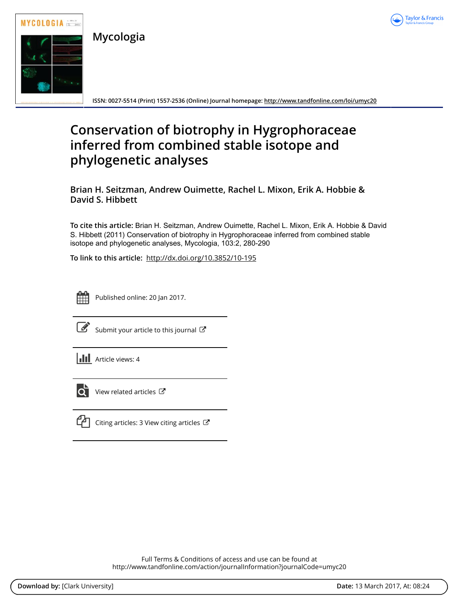

**Mycologia**



**ISSN: 0027-5514 (Print) 1557-2536 (Online) Journal homepage:<http://www.tandfonline.com/loi/umyc20>**

# **Conservation of biotrophy in Hygrophoraceae inferred from combined stable isotope and phylogenetic analyses**

**Brian H. Seitzman, Andrew Ouimette, Rachel L. Mixon, Erik A. Hobbie & David S. Hibbett**

**To cite this article:** Brian H. Seitzman, Andrew Ouimette, Rachel L. Mixon, Erik A. Hobbie & David S. Hibbett (2011) Conservation of biotrophy in Hygrophoraceae inferred from combined stable isotope and phylogenetic analyses, Mycologia, 103:2, 280-290

**To link to this article:** <http://dx.doi.org/10.3852/10-195>



Published online: 20 Jan 2017.

 $\mathbb G$  [Submit your article to this journal](http://www.tandfonline.com/action/authorSubmission?journalCode=umyc20&show=instructions)  $\mathbb G$ 

 $\left\| \cdot \right\|$  Article views: 4



[View related articles](http://www.tandfonline.com/doi/mlt/10.3852/10-195) C



 $\Box$  [Citing articles: 3 View citing articles](http://www.tandfonline.com/doi/citedby/10.3852/10-195#tabModule)  $\Box$ 

Full Terms & Conditions of access and use can be found at <http://www.tandfonline.com/action/journalInformation?journalCode=umyc20>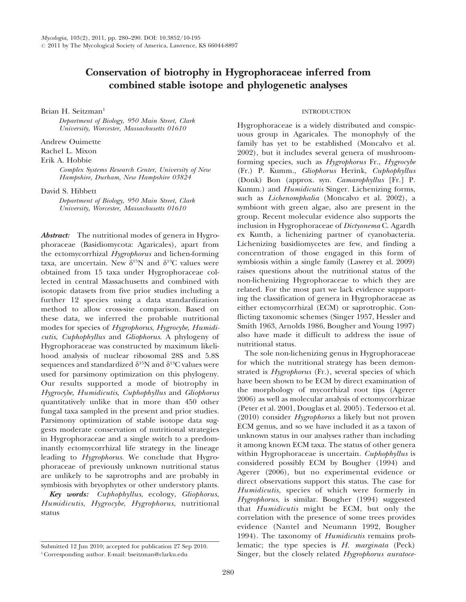## Conservation of biotrophy in Hygrophoraceae inferred from combined stable isotope and phylogenetic analyses

Brian H. Seitzman<sup>1</sup>

Department of Biology, 950 Main Street, Clark University, Worcester, Massachusetts 01610

Andrew Ouimette

Rachel L. Mixon

Erik A. Hobbie

Complex Systems Research Center, University of New Hampshire, Durham, New Hampshire 03824

David S. Hibbett

Department of Biology, 950 Main Street, Clark University, Worcester, Massachusetts 01610

Abstract: The nutritional modes of genera in Hygrophoraceae (Basidiomycota: Agaricales), apart from the ectomycorrhizal Hygrophorus and lichen-forming taxa, are uncertain. New  $\delta^{15}N$  and  $\delta^{13}C$  values were obtained from 15 taxa under Hygrophoraceae collected in central Massachusetts and combined with isotopic datasets from five prior studies including a further 12 species using a data standardization method to allow cross-site comparison. Based on these data, we inferred the probable nutritional modes for species of Hygrophorus, Hygrocybe, Humidicutis, Cuphophyllus and Gliophorus. A phylogeny of Hygrophoraceae was constructed by maximum likelihood analysis of nuclear ribosomal 28S and 5.8S sequences and standardized  $\delta^{15}N$  and  $\delta^{13}C$  values were used for parsimony optimization on this phylogeny. Our results supported a mode of biotrophy in Hygrocybe, Humidicutis, Cuphophyllus and Gliophorus quantitatively unlike that in more than 450 other fungal taxa sampled in the present and prior studies. Parsimony optimization of stable isotope data suggests moderate conservation of nutritional strategies in Hygrophoraceae and a single switch to a predominantly ectomycorrhizal life strategy in the lineage leading to *Hygrophorus*. We conclude that Hygrophoraceae of previously unknown nutritional status are unlikely to be saprotrophs and are probably in symbiosis with bryophytes or other understory plants.

Key words: Cuphophyllus, ecology, Gliophorus, Humidicutis, Hygrocybe, Hygrophorus, nutritional status

### INTRODUCTION

Hygrophoraceae is a widely distributed and conspicuous group in Agaricales. The monophyly of the family has yet to be established (Moncalvo et al. 2002), but it includes several genera of mushroomforming species, such as Hygrophorus Fr., Hygrocybe (Fr.) P. Kumm., Gliophorus Herink, Cuphophyllus (Donk) Bon (approx. syn. Camarophyllus [Fr.] P. Kumm.) and *Humidicutis* Singer. Lichenizing forms, such as Lichenomphalia (Moncalvo et al. 2002), a symbiont with green algae, also are present in the group. Recent molecular evidence also supports the inclusion in Hygrophoraceae of Dictyonema C. Agardh ex Kunth, a lichenizing partner of cyanobacteria. Lichenizing basidiomycetes are few, and finding a concentration of those engaged in this form of symbiosis within a single family (Lawrey et al. 2009) raises questions about the nutritional status of the non-lichenizing Hygrophoraceae to which they are related. For the most part we lack evidence supporting the classification of genera in Hygrophoraceae as either ectomycorrhizal (ECM) or saprotrophic. Conflicting taxonomic schemes (Singer 1957, Hessler and Smith 1963, Arnolds 1986, Bougher and Young 1997) also have made it difficult to address the issue of nutritional status.

The sole non-lichenizing genus in Hygrophoraceae for which the nutritional strategy has been demonstrated is Hygrophorus (Fr.), several species of which have been shown to be ECM by direct examination of the morphology of mycorrhizal root tips (Agerer 2006) as well as molecular analysis of ectomycorrhizae (Peter et al. 2001, Douglas et al. 2005). Tedersoo et al. (2010) consider Hygrophorus a likely but not proven ECM genus, and so we have included it as a taxon of unknown status in our analyses rather than including it among known ECM taxa. The status of other genera within Hygrophoraceae is uncertain. Cuphophyllus is considered possibly ECM by Bougher (1994) and Agerer (2006), but no experimental evidence or direct observations support this status. The case for Humidicutis, species of which were formerly in Hygrophorus, is similar. Bougher (1994) suggested that Humidicutis might be ECM, but only the correlation with the presence of some trees provides evidence (Nantel and Neumann 1992, Bougher 1994). The taxonomy of *Humidicutis* remains problematic; the type species is H. marginata (Peck) Singer, but the closely related Hygrophorus auratoce-

Submitted 12 Jun 2010; accepted for publication 27 Sep 2010.

<sup>1</sup>Corresponding author. E-mail: bseitzman@clarku.edu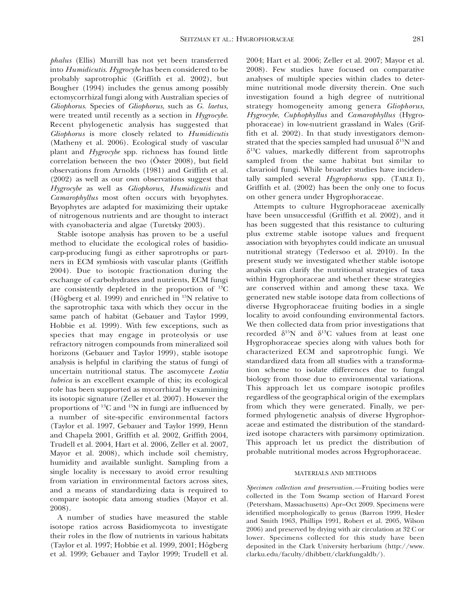phalus (Ellis) Murrill has not yet been transferred into Humidicutis. Hygrocybe has been considered to be probably saprotrophic (Griffith et al. 2002), but Bougher (1994) includes the genus among possibly ectomycorrhizal fungi along with Australian species of Gliophorus. Species of Gliophorus, such as G. laetus, were treated until recently as a section in Hygrocybe. Recent phylogenetic analysis has suggested that Gliophorus is more closely related to Humidicutis (Matheny et al. 2006). Ecological study of vascular plant and Hygrocybe spp. richness has found little correlation between the two ( $\ddot{\text{O}}$ ster 2008), but field observations from Arnolds (1981) and Griffith et al. (2002) as well as our own observations suggest that Hygrocybe as well as Gliophorus, Humidicutis and Camarophyllus most often occurs with bryophytes. Bryophytes are adapted for maximizing their uptake of nitrogenous nutrients and are thought to interact with cyanobacteria and algae (Turetsky 2003).

Stable isotope analysis has proven to be a useful method to elucidate the ecological roles of basidiocarp-producing fungi as either saprotrophs or partners in ECM symbiosis with vascular plants (Griffith 2004). Due to isotopic fractionation during the exchange of carbohydrates and nutrients, ECM fungi are consistently depleted in the proportion of  $^{13}$ C (Högberg et al. 1999) and enriched in  $^{15}N$  relative to the saprotrophic taxa with which they occur in the same patch of habitat (Gebauer and Taylor 1999, Hobbie et al. 1999). With few exceptions, such as species that may engage in proteolysis or use refractory nitrogen compounds from mineralized soil horizons (Gebauer and Taylor 1999), stable isotope analysis is helpful in clarifying the status of fungi of uncertain nutritional status. The ascomycete Leotia lubrica is an excellent example of this; its ecological role has been supported as mycorrhizal by examining its isotopic signature (Zeller et al. 2007). However the proportions of 13C and 15N in fungi are influenced by a number of site-specific environmental factors (Taylor et al. 1997, Gebauer and Taylor 1999, Henn and Chapela 2001, Griffith et al. 2002, Griffith 2004, Trudell et al. 2004, Hart et al. 2006, Zeller et al. 2007, Mayor et al. 2008), which include soil chemistry, humidity and available sunlight. Sampling from a single locality is necessary to avoid error resulting from variation in environmental factors across sites, and a means of standardizing data is required to compare isotopic data among studies (Mayor et al. 2008).

A number of studies have measured the stable isotope ratios across Basidiomycota to investigate their roles in the flow of nutrients in various habitats (Taylor et al. 1997; Hobbie et al. 1999, 2001; Högberg et al. 1999; Gebauer and Taylor 1999; Trudell et al. 2004; Hart et al. 2006; Zeller et al. 2007; Mayor et al. 2008). Few studies have focused on comparative analyses of multiple species within clades to determine nutritional mode diversity therein. One such investigation found a high degree of nutritional strategy homogeneity among genera Gliophorus, Hygrocybe, Cuphophyllus and Camarophyllus (Hygrophoraceae) in low-nutrient grassland in Wales (Griffith et al. 2002). In that study investigators demonstrated that the species sampled had unusual  $\delta^{15}N$  and  $\delta^{13}$ C values, markedly different from saprotrophs sampled from the same habitat but similar to clavarioid fungi. While broader studies have incidentally sampled several Hygrophorus spp. (TABLE I), Griffith et al. (2002) has been the only one to focus on other genera under Hygrophoraceae.

Attempts to culture Hygrophoraceae axenically have been unsuccessful (Griffith et al. 2002), and it has been suggested that this resistance to culturing plus extreme stable isotope values and frequent association with bryophytes could indicate an unusual nutritional strategy (Tedersoo et al. 2010). In the present study we investigated whether stable isotope analysis can clarify the nutritional strategies of taxa within Hygrophoraceae and whether these strategies are conserved within and among these taxa. We generated new stable isotope data from collections of diverse Hygrophoraceae fruiting bodies in a single locality to avoid confounding environmental factors. We then collected data from prior investigations that recorded  $\delta^{15}N$  and  $\delta^{13}C$  values from at least one Hygrophoraceae species along with values both for characterized ECM and saprotrophic fungi. We standardized data from all studies with a transformation scheme to isolate differences due to fungal biology from those due to environmental variations. This approach let us compare isotopic profiles regardless of the geographical origin of the exemplars from which they were generated. Finally, we performed phylogenetic analysis of diverse Hygrophoraceae and estimated the distribution of the standardized isotope characters with parsimony optimization. This approach let us predict the distribution of probable nutritional modes across Hygrophoraceae.

#### MATERIALS AND METHODS

Specimen collection and preservation.—Fruiting bodies were collected in the Tom Swamp section of Harvard Forest (Petersham, Massachusetts) Apr–Oct 2009. Specimens were identified morphologically to genus (Barron 1999, Hesler and Smith 1963, Phillips 1991, Robert et al. 2005, Wilson 2006) and preserved by drying with air circulation at 32 C or lower. Specimens collected for this study have been deposited in the Clark University herbarium (http://www. clarku.edu/faculty/dhibbett/clarkfungaldb/).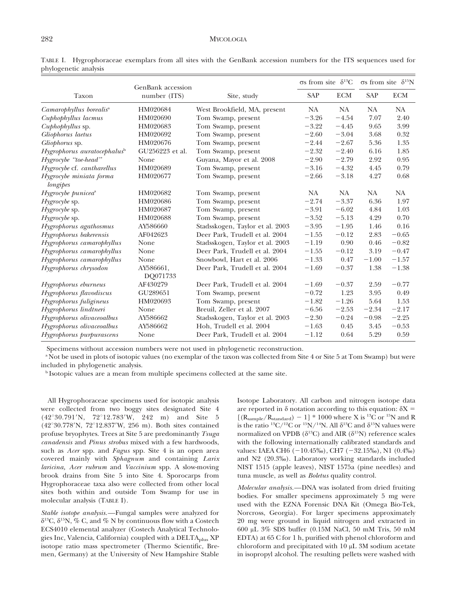|                                           | GenBank accession     |                                 | $\sigma s$ from site $\delta^{13}C$ |            | $\sigma s$ from site $\delta^{15}N$ |            |
|-------------------------------------------|-----------------------|---------------------------------|-------------------------------------|------------|-------------------------------------|------------|
| Taxon                                     | number (ITS)          | Site, study                     | <b>SAP</b>                          | <b>ECM</b> | SAP                                 | <b>ECM</b> |
| Camarophyllus borealis <sup>a</sup>       | HM020684              | West Brookfield, MA, present    | NA.                                 | NA.        | NA.                                 | NA.        |
| Cuphophyllus lacmus                       | HM020690              | Tom Swamp, present              | $-3.26$                             | $-4.54$    | 7.07                                | 2.40       |
| <i>Cuphophyllus</i> sp.                   | HM020683              | Tom Swamp, present              | $-3.22$                             | $-4.45$    | 9.65                                | 3.99       |
| Gliophorus laetus                         | HM020692              | Tom Swamp, present              | $-2.60$                             | $-3.04$    | 3.68                                | 0.32       |
| Gliophorus sp.                            | HM020676              | Tom Swamp, present              | $-2.44$                             | $-2.67$    | 5.36                                | 1.35       |
| $Hygraphorus$ auratocephalus <sup>b</sup> | GU256223 et al.       | Tom Swamp, present              | $-2.32$                             | $-2.40$    | 6.16                                | 1.85       |
| Hygrocybe "toe-head"                      | None                  | Guyana, Mayor et al. 2008       | $-2.90$                             | $-2.79$    | 2.92                                | 0.95       |
| Hygrocybe cf. cantharellus                | HM020689              | Tom Swamp, present              | $-3.16$                             | $-4.32$    | 4.45                                | 0.79       |
| Hygrocybe miniata forma<br>longipes       | HM020677              | Tom Swamp, present              | $-2.66$                             | $-3.18$    | 4.27                                | 0.68       |
| Hygrocybe punicea <sup>a</sup>            | HM020682              | Tom Swamp, present              | NA.                                 | <b>NA</b>  | NA.                                 | NA         |
| $Hygrocybe$ sp.                           | HM020686              | Tom Swamp, present              | $-2.74$                             | $-3.37$    | 6.36                                | 1.97       |
| $Hygrocybe$ sp.                           | HM020687              | Tom Swamp, present              | $-3.91$                             | $-6.02$    | 4.84                                | 1.03       |
| Hygrocybe sp.                             | HM020688              | Tom Swamp, present              | $-3.52$                             | $-5.13$    | 4.29                                | 0.70       |
| Hygrophorus agathosmus                    | AY586660              | Stadsskogen, Taylor et al. 2003 | $-3.95$                             | $-1.95$    | 1.46                                | 0.16       |
| Hygrophorus bakerensis                    | AF042623              | Deer Park, Trudell et al. 2004  | $-1.55$                             | $-0.12$    | 2.83                                | $-0.65$    |
| Hygrophorus camarophyllus                 | None                  | Stadsskogen, Taylor et al. 2003 | $-1.19$                             | 0.90       | 0.46                                | $-0.82$    |
| Hygrophorus camarophyllus                 | None                  | Deer Park, Trudell et al. 2004  | $-1.55$                             | $-0.12$    | 3.19                                | $-0.47$    |
| Hygrophorus camarophyllus                 | None                  | Snowbowl, Hart et al. 2006      | $-1.33$                             | 0.47       | $-1.00$                             | $-1.57$    |
| Hygrophorus chrysodon                     | AY586661,<br>DQ071733 | Deer Park, Trudell et al. 2004  | $-1.69$                             | $-0.37$    | 1.38                                | $-1.38$    |
| Hygrophorus eburneus                      | AF430279              | Deer Park, Trudell et al. 2004  | $-1.69$                             | $-0.37$    | 2.59                                | $-0.77$    |
| Hygrophorus flavodiscus                   | GU289651              | Tom Swamp, present              | $-0.72$                             | 1.23       | 3.95                                | 0.49       |
| Hygrophorus fuligineus                    | HM020693              | Tom Swamp, present              | $-1.82$                             | $-1.26$    | 5.64                                | 1.53       |
| Hygrophorus lindtneri                     | None                  | Breuil, Zeller et al. 2007      | $-6.56$                             | $-2.53$    | $-2.34$                             | $-2.17$    |
| Hygrophorus olivaceoalbus                 | AY586662              | Stadsskogen, Taylor et al. 2003 | $-2.30$                             | $-0.24$    | $-0.98$                             | $-2.25$    |
| Hygrophorus olivaceoalbus                 | AY586662              | Hoh, Trudell et al. 2004        | $-1.63$                             | 0.45       | 3.45                                | $-0.53$    |
| Hygrophorus purpurascens                  | None                  | Deer Park, Trudell et al. 2004  | $-1.12$                             | 0.64       | 5.29                                | 0.59       |

TABLE I. Hygrophoraceae exemplars from all sites with the GenBank accession numbers for the ITS sequences used for phylogenetic analysis

Specimens without accession numbers were not used in phylogenetic reconstruction.

<sup>a</sup> Not be used in plots of isotopic values (no exemplar of the taxon was collected from Site 4 or Site 5 at Tom Swamp) but were included in phylogenetic analysis.

<sup>b</sup> Isotopic values are a mean from multiple specimens collected at the same site.

All Hygrophoraceae specimens used for isotopic analysis were collected from two boggy sites designated Site 4  $(42^{\circ}30.791'N, 72^{\circ}12.783'W, 242 m)$  and Site 5 (42°30.778'N, 72°12.837'W, 256 m). Both sites contained profuse bryophytes. Trees at Site 5 are predominantly Tsuga canadensis and Pinus strobus mixed with a few hardwoods, such as *Acer* spp. and *Fagus* spp. Site 4 is an open area covered mainly with Sphagnum and containing Larix laricina, Acer rubrum and Vaccinium spp. A slow-moving brook drains from Site 5 into Site 4. Sporocarps from Hygrophoraceae taxa also were collected from other local sites both within and outside Tom Swamp for use in molecular analysis (TABLE I).

Stable isotope analysis.—Fungal samples were analyzed for  $\delta^{13}$ C,  $\delta^{15}$ N, % C, and % N by continuous flow with a Costech ECS4010 elemental analyzer (Costech Analytical Technologies Inc, Valencia, California) coupled with a DELTA<sub>plus</sub> XP isotope ratio mass spectrometer (Thermo Scientific, Bremen, Germany) at the University of New Hampshire Stable

Isotope Laboratory. All carbon and nitrogen isotope data are reported in  $\delta$  notation according to this equation:  $\delta X =$  $[(R<sub>sample</sub>/R<sub>standard</sub>) - 1] * 1000$  where X is <sup>13</sup>C or <sup>15</sup>N and R is the ratio  $^{13}C/^{12}C$  or  $^{15}N/^{14}N$ . All  $\delta^{13}C$  and  $\delta^{15}N$  values were normalized on VPDB ( $\delta^{13}$ C) and AIR ( $\delta^{15}$ N) reference scales with the following internationally calibrated standards and values: IAEA CH6  $(-10.45\%)$ , CH7  $(-32.15\%)$ , N1  $(0.4\%)$ and N2 (20.3%). Laboratory working standards included NIST 1515 (apple leaves), NIST 1575a (pine needles) and tuna muscle, as well as *Boletus* quality control.

Molecular analysis.—DNA was isolated from dried fruiting bodies. For smaller specimens approximately 5 mg were used with the EZNA Forensic DNA Kit (Omega Bio-Tek, Norcross, Georgia). For larger specimens approximately 20 mg were ground in liquid nitrogen and extracted in 600 mL 3% SDS buffer (0.15M NaCl, 50 mM Tris, 50 mM EDTA) at 65 C for 1 h, purified with phenol chloroform and chloroform and precipitated with  $10 \mu L$  3M sodium acetate in isopropyl alcohol. The resulting pellets were washed with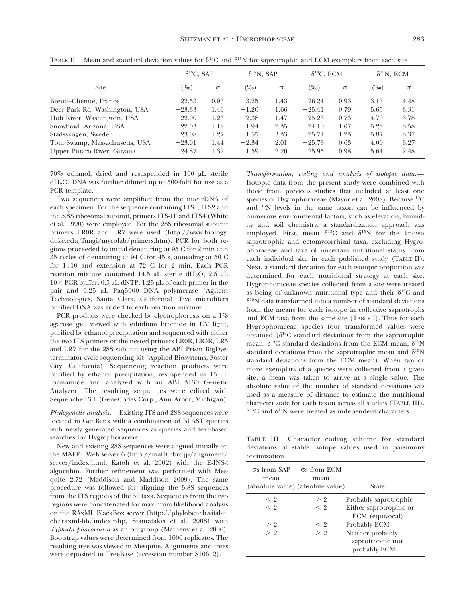|                               | $\delta^{13}C$ , SAP |          | $\delta^{15}$ N, SAP |          | $\delta^{13}C$ , ECM |          | $\delta^{15}$ N, ECM |          |
|-------------------------------|----------------------|----------|----------------------|----------|----------------------|----------|----------------------|----------|
| <b>Site</b>                   | $\frac{(960)}{2}$    | $\sigma$ | $(\%0)$              | $\sigma$ | $(\%0)$              | $\sigma$ | $\frac{(9/00)}{2}$   | $\sigma$ |
| Breuil-Chenue, France         | $-22.53$             | 0.93     | $-3.25$              | 1.43     | $-26.24$             | 0.93     | 3.13                 | 4.48     |
| Deer Park Rd, Washington, USA | $-23.33$             | 1.40     | $-1.20$              | 1.66     | $-25.41$             | 0.79     | 5.65                 | 3.31     |
| Hoh River, Washington, USA    | $-22.90$             | 1.23     | $-2.38$              | 1.47     | $-25.23$             | 0.73     | 4.70                 | 3.78     |
| Snowbowl, Arizona, USA        | $-22.03$             | 1.18     | 1.94                 | 2.35     | $-24.10$             | 1.07     | 5.23                 | 3.58     |
| Stadsskogen, Sweden           | $-23.08$             | 1.27     | 1.55                 | 3.33     | $-25.71$             | 1.23     | 5.87                 | 3.37     |
| Tom Swamp, Massachusetts, USA | $-23.91$             | 1.44     | $-2.34$              | 2.01     | $-25.73$             | 0.63     | 4.00                 | 3.27     |
| Upper Potaro River, Guyana    | $-24.87$             | 1.32     | 1.59                 | 2.20     | $-25.95$             | 0.98     | 5.64                 | 2.48     |

TABLE II. Mean and standard deviation values for  $\delta^{13}C$  and  $\delta^{15}N$  for saprotrophic and ECM exemplars from each site

70% ethanol, dried and resuspended in 100 mL sterile  $dH<sub>2</sub>O$ . DNA was further diluted up to 500-fold for use as a PCR template.

Two sequences were amplified from the nuc rDNA of each specimen. For the sequence containing ITS1, ITS2 and the 5.8S ribosomal subunit, primers ITS-1F and ITS4 (White et al. 1990) were employed. For the 28S ribosomal subunit primers LR0R and LR7 were used (http://www.biology. duke.edu/fungi/mycolab/primers.htm). PCR for both regions proceeded by initial denaturing at 95 C for 2 min and 35 cycles of denaturing at 94 C for 45 s, annealing at 50 C for 1 : 10 and extension at 72 C for 2 min. Each PCR reaction mixture contained 14.5  $\mu$ L sterile dH<sub>2</sub>O, 2.5  $\mu$ L  $10\times$  PCR buffer, 0.5 µL dNTP, 1.25 µL of each primer in the pair and 0.25 µL Paq5000 DNA polymerase (Agilent Technologies, Santa Clara, California). Five microliters purified DNA was added to each reaction mixture.

PCR products were checked by electrophoresis on a 1% agarose gel, viewed with ethidium bromide in UV light, purified by ethanol precipitation and sequenced with either the two ITS primers or the nested primers LR0R, LR3R, LR5 and LR7 for the 28S subunit using the ABI Prism BigDyeterminator cycle sequencing kit (Applied Biosystems, Foster City, California). Sequencing reaction products were purified by ethanol precipitation, resuspended in 15 mL formamide and analyzed with an ABI 3130 Genetic Analyzer. The resulting sequences were edited with Sequencher 3.1 (GeneCodes Corp., Ann Arbor, Michigan).

Phylogenetic analysis.—Existing ITS and 28S sequences were located in GenBank with a combination of BLAST queries with newly generated sequences as queries and text-based searches for Hygrophoraceae.

New and existing 28S sequences were aligned initially on the MAFFT Web server 6 (http://mafft.cbrc.jp/alignment/ server/index.html, Katoh et al. 2002) with the E-INS-I algorithm. Further refinement was performed with Mesquite 2.72 (Maddison and Maddison 2009). The same procedure was followed for aligning the 5.8S sequences from the ITS regions of the 50 taxa. Sequences from the two regions were concatenated for maximum likelihood analysis on the RAxML BlackBox server (http://phylobench.vital-it. ch/raxml-bb/index.php, Stamatakis et al. 2008) with Typhula phacorrhiza as an outgroup (Matheny et al. 2006). Bootstrap values were determined from 1000 replicates. The resulting tree was viewed in Mesquite. Alignments and trees were deposited in TreeBase (accession number S10612).

Transformation, coding and analysis of isotopic data.— Isotopic data from the present study were combined with those from previous studies that included at least one species of Hygrophoraceae (Mayor et al. 2008). Because <sup>13</sup>C and 15N levels in the same taxon can be influenced by numerous environmental factors, such as elevation, humidity and soil chemistry, a standardization approach was employed. First, mean  $\delta^{13}C$  and  $\delta^{15}N$  for the known saprotrophic and ectomycorrhizal taxa, excluding Hygrophoraceae and taxa of uncertain nutritional status, from each individual site in each published study (TABLE II). Next, a standard deviation for each isotopic proportion was determined for each nutritional strategy at each site. Hygrophoraceae species collected from a site were treated as being of unknown nutritional type and their  $\delta^{13}C$  and  $\delta^{15}$ N data transformed into a number of standard deviations from the means for each isotope in collective saprotrophs and ECM taxa from the same site (TABLE I). Thus for each Hygrophoraceae species four transformed values were obtained  $(\delta^{13}C \text{ standard deviations from the saprotrophic})$ mean,  $\delta^{13}$ C standard deviations from the ECM mean,  $\delta^{15}$ N standard deviations from the saprotrophic mean and  $\delta^{15}N$ standard deviations from the ECM mean). When two or more exemplars of a species were collected from a given site, a mean was taken to arrive at a single value. The absolute value of the number of standard deviations was used as a measure of distance to estimate the nutritional character state for each taxon across all studies (TABLE III).  $\delta^{13}$ C and  $\delta^{15}$ N were treated as independent characters.

TABLE III. Character coding scheme for standard deviations of stable isotope values used in parsimony optimization

| $\sigma s$ from SAP<br>mean | $\sigma s$ from ECM<br>mean<br>(absolute value) (absolute value) | <b>State</b>                                                       |
|-----------------------------|------------------------------------------------------------------|--------------------------------------------------------------------|
| $\leq 2$<br>$\leq 2$        | > 2<br>$\leq 2$                                                  | Probably saprotrophic<br>Either saprotrophic or<br>ECM (equivocal) |
| >2                          | $\leq 2$                                                         | Probably ECM                                                       |
| > 2                         | > 2                                                              | Neither probably<br>saprotrophic nor<br>probably ECM               |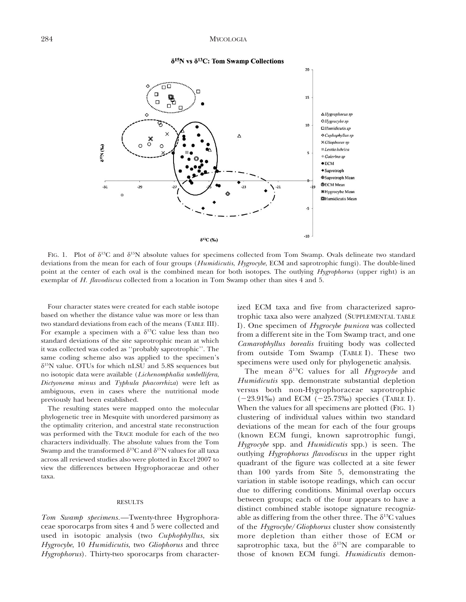#### 284 MYCOLOGIA



#### $\delta^{15}$ N vs  $\delta^{13}$ C: Tom Swamp Collections

FIG. 1. Plot of  $\delta^{13}C$  and  $\delta^{15}N$  absolute values for specimens collected from Tom Swamp. Ovals delineate two standard deviations from the mean for each of four groups (Humidicutis, Hygrocybe, ECM and saprotrophic fungi). The double-lined point at the center of each oval is the combined mean for both isotopes. The outlying Hygrophorus (upper right) is an exemplar of H. flavodiscus collected from a location in Tom Swamp other than sites 4 and 5.

Four character states were created for each stable isotope based on whether the distance value was more or less than two standard deviations from each of the means (TABLE III). For example a specimen with a  $\delta^{13}$ C value less than two standard deviations of the site saprotrophic mean at which it was collected was coded as ''probably saprotrophic''. The same coding scheme also was applied to the specimen's  $\delta^{15}$ N value. OTUs for which nLSU and 5.8S sequences but no isotopic data were available (Lichenomphalia umbellifera, Dictyonema minus and Typhula phacorrhiza) were left as ambiguous, even in cases where the nutritional mode previously had been established.

The resulting states were mapped onto the molecular phylogenetic tree in Mesquite with unordered parsimony as the optimality criterion, and ancestral state reconstruction was performed with the TRACE module for each of the two characters individually. The absolute values from the Tom Swamp and the transformed  $\delta^{13}$ C and  $\delta^{15}$ N values for all taxa across all reviewed studies also were plotted in Excel 2007 to view the differences between Hygrophoraceae and other taxa.

#### RESULTS

Tom Swamp specimens.—Twenty-three Hygrophoraceae sporocarps from sites 4 and 5 were collected and used in isotopic analysis (two Cuphophyllus, six Hygrocybe, 10 Humidicutis, two Gliophorus and three Hygrophorus). Thirty-two sporocarps from character-

ized ECM taxa and five from characterized saprotrophic taxa also were analyzed (SUPPLEMENTAL TABLE I). One specimen of Hygrocybe punicea was collected from a different site in the Tom Swamp tract, and one Camarophyllus borealis fruiting body was collected from outside Tom Swamp (TABLE I). These two specimens were used only for phylogenetic analysis.

The mean  $\delta^{13}$ C values for all *Hygrocybe* and Humidicutis spp. demonstrate substantial depletion versus both non-Hygrophoraceae saprotrophic  $(-23.91\%)$  and ECM  $(-25.73\%)$  species (TABLE I). When the values for all specimens are plotted (FIG. 1) clustering of individual values within two standard deviations of the mean for each of the four groups (known ECM fungi, known saprotrophic fungi, Hygrocybe spp. and *Humidicutis* spp.) is seen. The outlying Hygrophorus flavodiscus in the upper right quadrant of the figure was collected at a site fewer than 100 yards from Site 5, demonstrating the variation in stable isotope readings, which can occur due to differing conditions. Minimal overlap occurs between groups; each of the four appears to have a distinct combined stable isotope signature recognizable as differing from the other three. The  $\delta^{13}$ C values of the Hygrocybe/Gliophorus cluster show consistently more depletion than either those of ECM or saprotrophic taxa, but the  $\delta^{15}N$  are comparable to those of known ECM fungi. Humidicutis demon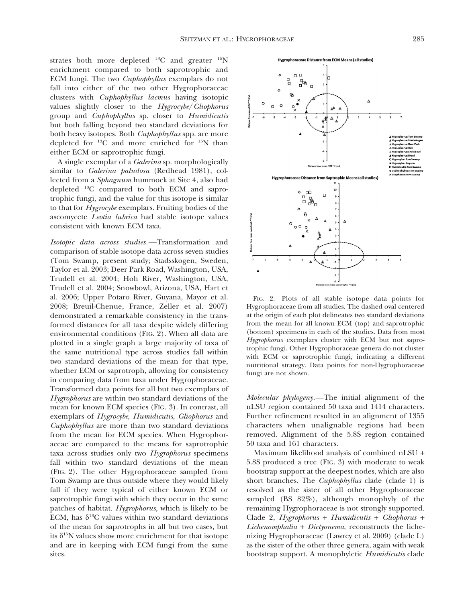strates both more depleted  $^{13}$ C and greater  $^{15}$ N enrichment compared to both saprotrophic and ECM fungi. The two Cuphophyllus exemplars do not fall into either of the two other Hygrophoraceae clusters with Cuphophyllus lacmus having isotopic values slightly closer to the Hygrocybe/Gliophorus group and Cuphophyllus sp. closer to Humidicutis but both falling beyond two standard deviations for both heavy isotopes. Both Cuphophyllus spp. are more depleted for 13C and more enriched for 15N than either ECM or saprotrophic fungi.

A single exemplar of a Galerina sp. morphologically similar to Galerina paludosa (Redhead 1981), collected from a Sphagnum hummock at Site 4, also had depleted 13C compared to both ECM and saprotrophic fungi, and the value for this isotope is similar to that for Hygrocybe exemplars. Fruiting bodies of the ascomycete Leotia lubrica had stable isotope values consistent with known ECM taxa.

Isotopic data across studies.—Transformation and comparison of stable isotope data across seven studies (Tom Swamp, present study; Stadsskogen, Sweden, Taylor et al. 2003; Deer Park Road, Washington, USA, Trudell et al. 2004; Hoh River, Washington, USA, Trudell et al. 2004; Snowbowl, Arizona, USA, Hart et al. 2006; Upper Potaro River, Guyana, Mayor et al. 2008; Breuil-Chenue, France, Zeller et al. 2007) demonstrated a remarkable consistency in the transformed distances for all taxa despite widely differing environmental conditions (FIG. 2). When all data are plotted in a single graph a large majority of taxa of the same nutritional type across studies fall within two standard deviations of the mean for that type, whether ECM or saprotroph, allowing for consistency in comparing data from taxa under Hygrophoraceae. Transformed data points for all but two exemplars of Hygrophorus are within two standard deviations of the mean for known ECM species (FIG. 3). In contrast, all exemplars of Hygrocybe, Humidicutis, Gliophorus and Cuphophyllus are more than two standard deviations from the mean for ECM species. When Hygrophoraceae are compared to the means for saprotrophic taxa across studies only two Hygrophorus specimens fall within two standard deviations of the mean (FIG. 2). The other Hygrophoraceae sampled from Tom Swamp are thus outside where they would likely fall if they were typical of either known ECM or saprotrophic fungi with which they occur in the same patches of habitat. Hygrophorus, which is likely to be ECM, has  $\delta^{13}$ C values within two standard deviations of the mean for saprotrophs in all but two cases, but its  $\delta^{15}N$  values show more enrichment for that isotope and are in keeping with ECM fungi from the same sites.



FIG. 2. Plots of all stable isotope data points for Hygrophoraceae from all studies. The dashed oval centered at the origin of each plot delineates two standard deviations from the mean for all known ECM (top) and saprotrophic (bottom) specimens in each of the studies. Data from most Hygrophorus exemplars cluster with ECM but not saprotrophic fungi. Other Hygrophoraceae genera do not cluster with ECM or saprotrophic fungi, indicating a different nutritional strategy. Data points for non-Hygrophoraceae fungi are not shown.

Molecular phylogeny.—The initial alignment of the nLSU region contained 50 taxa and 1414 characters. Further refinement resulted in an alignment of 1355 characters when unalignable regions had been removed. Alignment of the 5.8S region contained 50 taxa and 161 characters.

Maximum likelihood analysis of combined nLSU + 5.8S produced a tree (FIG. 3) with moderate to weak bootstrap support at the deepest nodes, which are also short branches. The Cuphophyllus clade (clade 1) is resolved as the sister of all other Hygrophoraceae sampled (BS 82%), although monophyly of the remaining Hygrophoraceae is not strongly supported. Clade 2, Hygrophorus + Humidicutis + Gliophorus +  $Lichenomphalia + Dictyonema$ , reconstructs the lichenizing Hygrophoraceae (Lawrey et al. 2009) (clade L) as the sister of the other three genera, again with weak bootstrap support. A monophyletic Humidicutis clade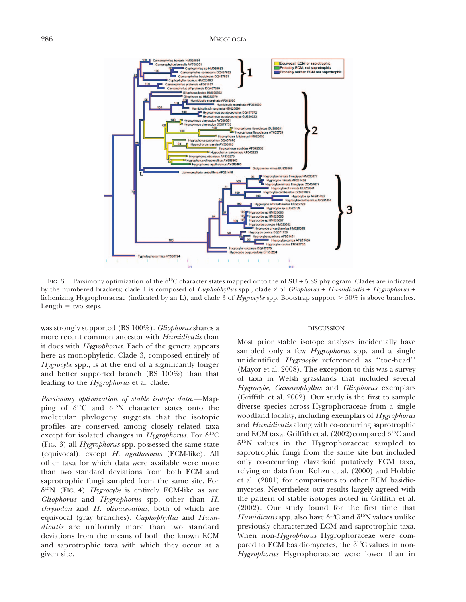

FIG. 3. Parsimony optimization of the  $\delta^{13}C$  character states mapped onto the nLSU + 5.8S phylogram. Clades are indicated by the numbered brackets; clade 1 is composed of Cuphophyllus spp., clade 2 of Gliophorus + Humidicutis + Hygrophorus + lichenizing Hygrophoraceae (indicated by an L), and clade 3 of Hygrocybe spp. Bootstrap support  $>50\%$  is above branches. Length  $=$  two steps.

was strongly supported (BS 100%). Gliophorus shares a more recent common ancestor with *Humidicutis* than it does with Hygrophorus. Each of the genera appears here as monophyletic. Clade 3, composed entirely of Hygrocybe spp., is at the end of a significantly longer and better supported branch (BS 100%) than that leading to the *Hygrophorus* et al. clade.

Parsimony optimization of stable isotope data.—Mapping of  $\delta^{13}C$  and  $\delta^{15}N$  character states onto the molecular phylogeny suggests that the isotopic profiles are conserved among closely related taxa except for isolated changes in *Hygrophorus*. For  $\delta^{13}C$ (FIG. 3) all Hygrophorus spp. possessed the same state (equivocal), except H. agathosmus (ECM-like). All other taxa for which data were available were more than two standard deviations from both ECM and saprotrophic fungi sampled from the same site. For  $\delta^{15}N$  (FIG. 4) *Hygrocybe* is entirely ECM-like as are Gliophorus and Hygrophorus spp. other than H. chrysodon and H. olivaceoalbus, both of which are equivocal (gray branches). Cuphophyllus and Humidicutis are uniformly more than two standard deviations from the means of both the known ECM and saprotrophic taxa with which they occur at a given site.

#### DISCUSSION

Most prior stable isotope analyses incidentally have sampled only a few *Hygrophorus* spp. and a single unidentified Hygrocybe referenced as "toe-head" (Mayor et al. 2008). The exception to this was a survey of taxa in Welsh grasslands that included several Hygrocybe, Camarophyllus and Gliophorus exemplars (Griffith et al. 2002). Our study is the first to sample diverse species across Hygrophoraceae from a single woodland locality, including exemplars of Hygrophorus and Humidicutis along with co-occurring saprotrophic and ECM taxa. Griffith et al. (2002)compared  $\delta^{13}$ C and  $\delta^{15}$ N values in the Hygrophoraceae sampled to saprotrophic fungi from the same site but included only co-occurring clavarioid putatively ECM taxa, relying on data from Kohzu et al. (2000) and Hobbie et al. (2001) for comparisons to other ECM basidiomycetes. Nevertheless our results largely agreed with the pattern of stable isotopes noted in Griffith et al. (2002). Our study found for the first time that Humidicutis spp. also have  $\delta^{13}$ C and  $\delta^{15}$ N values unlike previously characterized ECM and saprotrophic taxa. When non-Hygrophorus Hygrophoraceae were compared to ECM basidiomycetes, the  $\delta^{13}$ C values in non-Hygrophorus Hygrophoraceae were lower than in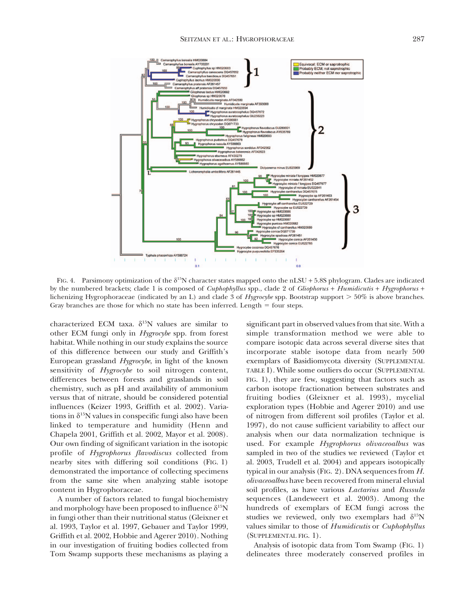

FIG. 4. Parsimony optimization of the  $\delta^{15}N$  character states mapped onto the nLSU + 5.8S phylogram. Clades are indicated by the numbered brackets; clade 1 is composed of Cuphophyllus spp., clade 2 of Gliophorus + Humidicutis + Hygrophorus + lichenizing Hygrophoraceae (indicated by an L) and clade 3 of Hygrocybe spp. Bootstrap support  $> 50\%$  is above branches. Gray branches are those for which no state has been inferred. Length  $=$  four steps.

characterized ECM taxa.  $\delta^{15}N$  values are similar to other ECM fungi only in Hygrocybe spp. from forest habitat. While nothing in our study explains the source of this difference between our study and Griffith's European grassland Hygrocybe, in light of the known sensitivity of Hygrocybe to soil nitrogen content, differences between forests and grasslands in soil chemistry, such as pH and availability of ammonium versus that of nitrate, should be considered potential influences (Keizer 1993, Griffith et al. 2002). Variations in  $\delta^{15}N$  values in conspecific fungi also have been linked to temperature and humidity (Henn and Chapela 2001, Griffith et al. 2002, Mayor et al. 2008). Our own finding of significant variation in the isotopic profile of Hygrophorus flavodiscus collected from nearby sites with differing soil conditions (FIG. 1) demonstrated the importance of collecting specimens from the same site when analyzing stable isotope content in Hygrophoraceae.

A number of factors related to fungal biochemistry and morphology have been proposed to influence  $\delta^{15}N$ in fungi other than their nutritional status (Gleixner et al. 1993, Taylor et al. 1997, Gebauer and Taylor 1999, Griffith et al. 2002, Hobbie and Agerer 2010). Nothing in our investigation of fruiting bodies collected from Tom Swamp supports these mechanisms as playing a significant part in observed values from that site. With a simple transformation method we were able to compare isotopic data across several diverse sites that incorporate stable isotope data from nearly 500 exemplars of Basidiomycota diversity (SUPPLEMENTAL TABLE I). While some outliers do occur (SUPPLEMENTAL FIG. 1), they are few, suggesting that factors such as carbon isotope fractionation between substrates and fruiting bodies (Gleixner et al. 1993), mycelial exploration types (Hobbie and Agerer 2010) and use of nitrogen from different soil profiles (Taylor et al. 1997), do not cause sufficient variability to affect our analysis when our data normalization technique is used. For example Hygrophorus olivaceoalbus was sampled in two of the studies we reviewed (Taylor et al. 2003, Trudell et al. 2004) and appears isotopically typical in our analysis (FIG. 2). DNA sequences from H. olivaceoalbus have been recovered from mineral eluvial soil profiles, as have various Lactarius and Russula sequences (Landeweert et al. 2003). Among the hundreds of exemplars of ECM fungi across the studies we reviewed, only two exemplars had  $\delta^{15}N$ values similar to those of Humidicutis or Cuphophyllus (SUPPLEMENTAL FIG. 1).

Analysis of isotopic data from Tom Swamp (FIG. 1) delineates three moderately conserved profiles in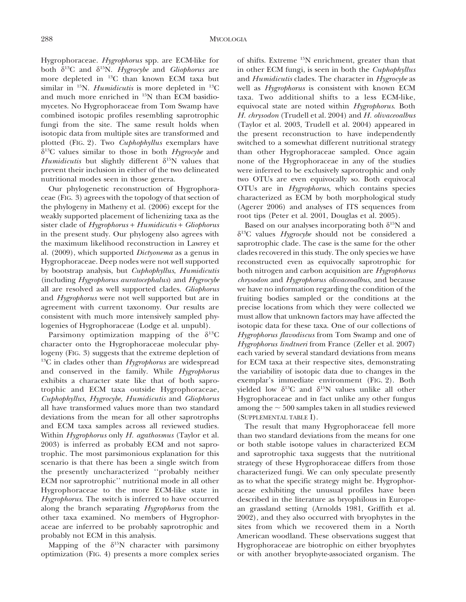Hygrophoraceae. Hygrophorus spp. are ECM-like for both  $\delta^{13}C$  and  $\delta^{15}N$ . *Hygrocybe* and *Gliophorus* are more depleted in 13C than known ECM taxa but similar in  $^{15}$ N. *Humidicutis* is more depleted in  $^{13}$ C and much more enriched in 15N than ECM basidiomycetes. No Hygrophoraceae from Tom Swamp have combined isotopic profiles resembling saprotrophic fungi from the site. The same result holds when isotopic data from multiple sites are transformed and plotted (FIG. 2). Two Cuphophyllus exemplars have  $\delta^{13}$ C values similar to those in both *Hygrocybe* and Humidicutis but slightly different  $\delta^{15}N$  values that prevent their inclusion in either of the two delineated nutritional modes seen in those genera.

Our phylogenetic reconstruction of Hygrophoraceae (FIG. 3) agrees with the topology of that section of the phylogeny in Matheny et al. (2006) except for the weakly supported placement of lichenizing taxa as the sister clade of Hygrophorus + Humidicutis + Gliophorus in the present study. Our phylogeny also agrees with the maximum likelihood reconstruction in Lawrey et al. (2009), which supported Dictyonema as a genus in Hygrophoraceae. Deep nodes were not well supported by bootstrap analysis, but Cuphophyllus, Humidicutis (including Hygrophorus auratocephalus) and Hygrocybe all are resolved as well supported clades. Gliophorus and Hygrophorus were not well supported but are in agreement with current taxonomy. Our results are consistent with much more intensively sampled phylogenies of Hygrophoraceae (Lodge et al. unpubl).

Parsimony optimization mapping of the  $\delta^{13}C$ character onto the Hygrophoraceae molecular phylogeny (FIG. 3) suggests that the extreme depletion of  $13^{\circ}$ C in clades other than *Hygrophorus* are widespread and conserved in the family. While Hygrophorus exhibits a character state like that of both saprotrophic and ECM taxa outside Hygrophoraceae, Cuphophyllus, Hygrocybe, Humidicutis and Gliophorus all have transformed values more than two standard deviations from the mean for all other saprotrophs and ECM taxa samples across all reviewed studies. Within Hygrophorus only H. agathosmus (Taylor et al. 2003) is inferred as probably ECM and not saprotrophic. The most parsimonious explanation for this scenario is that there has been a single switch from the presently uncharacterized ''probably neither ECM nor saprotrophic'' nutritional mode in all other Hygrophoraceae to the more ECM-like state in Hygrophorus. The switch is inferred to have occurred along the branch separating Hygrophorus from the other taxa examined. No members of Hygrophoraceae are inferred to be probably saprotrophic and probably not ECM in this analysis.

Mapping of the  $\delta^{15}N$  character with parsimony optimization (FIG. 4) presents a more complex series of shifts. Extreme 15N enrichment, greater than that in other ECM fungi, is seen in both the Cuphophyllus and Humidicutis clades. The character in Hygrocybe as well as Hygrophorus is consistent with known ECM taxa. Two additional shifts to a less ECM-like, equivocal state are noted within Hygrophorus. Both H. chrysodon (Trudell et al. 2004) and H. olivaceoalbus (Taylor et al. 2003, Trudell et al. 2004) appeared in the present reconstruction to have independently switched to a somewhat different nutritional strategy than other Hygrophoraceae sampled. Once again none of the Hygrophoraceae in any of the studies were inferred to be exclusively saprotrophic and only two OTUs are even equivocally so. Both equivocal OTUs are in Hygrophorus, which contains species characterized as ECM by both morphological study (Agerer 2006) and analyses of ITS sequences from root tips (Peter et al. 2001, Douglas et al. 2005).

Based on our analyses incorporating both  $\delta^{15}N$  and  $\delta^{13}$ C values *Hygrocybe* should not be considered a saprotrophic clade. The case is the same for the other clades recovered in this study. The only species we have reconstructed even as equivocally saprotrophic for both nitrogen and carbon acquisition are Hygrophorus chrysodon and Hygrophorus olivaceoalbus, and because we have no information regarding the condition of the fruiting bodies sampled or the conditions at the precise locations from which they were collected we must allow that unknown factors may have affected the isotopic data for these taxa. One of our collections of Hygrophorus flavodiscus from Tom Swamp and one of Hygrophorus lindtneri from France (Zeller et al. 2007) each varied by several standard deviations from means for ECM taxa at their respective sites, demonstrating the variability of isotopic data due to changes in the exemplar's immediate environment (FIG. 2). Both yielded low  $\delta^{13}C$  and  $\delta^{15}N$  values unlike all other Hygrophoraceae and in fact unlike any other fungus among the  $\sim$  500 samples taken in all studies reviewed (SUPPLEMENTAL TABLE I).

The result that many Hygrophoraceae fell more than two standard deviations from the means for one or both stable isotope values in characterized ECM and saprotrophic taxa suggests that the nutritional strategy of these Hygrophoraceae differs from those characterized fungi. We can only speculate presently as to what the specific strategy might be. Hygrophoraceae exhibiting the unusual profiles have been described in the literature as bryophilous in European grassland setting (Arnolds 1981, Griffith et al. 2002), and they also occurred with bryophytes in the sites from which we recovered them in a North American woodland. These observations suggest that Hygrophoraceae are biotrophic on either bryophytes or with another bryophyte-associated organism. The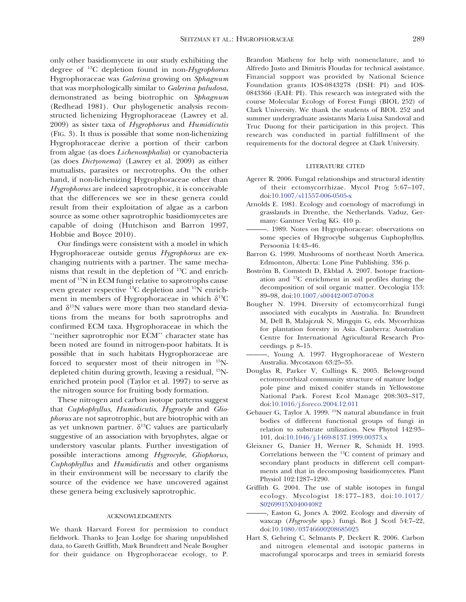only other basidiomycete in our study exhibiting the degree of  $^{13}C$  depletion found in non-*Hygrophorus* Hygrophoraceae was Galerina growing on Sphagnum that was morphologically similar to Galerina paludosa, demonstrated as being biotrophic on Sphagnum (Redhead 1981). Our phylogenetic analysis reconstructed lichenizing Hygrophoraceae (Lawrey et al. 2009) as sister taxa of Hygrophorus and Humidicutis (FIG. 3). It thus is possible that some non-lichenizing Hygrophoraceae derive a portion of their carbon from algae (as does Lichenomphalia) or cyanobacteria (as does Dictyonema) (Lawrey et al. 2009) as either mutualists, parasites or necrotrophs. On the other hand, if non-lichenizing Hygrophoraceae other than Hygrophorus are indeed saprotrophic, it is conceivable that the differences we see in these genera could result from their exploitation of algae as a carbon source as some other saprotrophic basidiomycetes are capable of doing (Hutchison and Barron 1997, Hobbie and Boyce 2010).

Our findings were consistent with a model in which Hygrophoraceae outside genus Hygrophorus are exchanging nutrients with a partner. The same mechanisms that result in the depletion of 13C and enrichment of 15N in ECM fungi relative to saprotrophs cause even greater respective 13C depletion and 15N enrichment in members of Hygrophoraceae in which  $\delta^{13}C$ and  $\delta^{15}N$  values were more than two standard deviations from the means for both saprotrophs and confirmed ECM taxa. Hygrophoraceae in which the ''neither saprotrophic nor ECM'' character state has been noted are found in nitrogen-poor habitats. It is possible that in such habitats Hygrophoraceae are forced to sequester most of their nitrogen in 15Ndepleted chitin during growth, leaving a residual, 15Nenriched protein pool (Taylor et al. 1997) to serve as the nitrogen source for fruiting body formation.

These nitrogen and carbon isotope patterns suggest that Cuphophyllus, Humidicutis, Hygrocybe and Gliophorus are not saprotrophic, but are biotrophic with an as yet unknown partner.  $\delta^{13}$ C values are particularly suggestive of an association with bryophytes, algae or understory vascular plants. Further investigation of possible interactions among Hygrocybe, Gliophorus, Cuphophyllus and Humidicutis and other organisms in their environment will be necessary to clarify the source of the evidence we have uncovered against these genera being exclusively saprotrophic.

#### ACKNOWLEDGMENTS

We thank Harvard Forest for permission to conduct fieldwork. Thanks to Jean Lodge for sharing unpublished data, to Gareth Griffith, Mark Brundrett and Neale Bougher for their guidance on Hygrophoraceae ecology, to P.

Brandon Matheny for help with nomenclature, and to Alfredo Justo and Dimitris Floudas for technical assistance. Financial support was provided by National Science Foundation grants IOS-0843278 (DSH: PI) and IOS-0843366 (EAH: PI). This research was integrated with the course Molecular Ecology of Forest Fungi (BIOL 252) of Clark University. We thank the students of BIOL 252 and summer undergraduate assistants Maria Luisa Sandoval and Truc Duong for their participation in this project. This research was conducted in partial fulfillment of the requirements for the doctoral degree at Clark University.

#### LITERATURE CITED

- Agerer R. 2006. Fungal relationships and structural identity of their ectomycorrhizae. Mycol Prog 5:67–107[,](http://dx.doi.org/10.1007%2Fs11557-006-0505-x) [doi:10.1007/s11557-006-0505-x](http://dx.doi.org/10.1007%2Fs11557-006-0505-x)
- Arnolds E. 1981. Ecology and coenology of macrofungi in grasslands in Drenthe, the Netherlands. Vaduz, Germany: Gantner Verlag KG. 410 p.
- ———. 1989. Notes on Hygrophoraceae: observations on some species of Hygrocybe subgenus Cuphophyllus. Persoonia 14:43–46.
- Barron G. 1999. Mushrooms of northeast North America. Edmonton, Alberta: Lone Pine Publishing. 336 p.
- Boström B, Comstedt D, Ekblad A. 2007. Isotope fractionation and 13C enrichment in soil profiles during the decomposition of soil organic matter. Oecologia 153: 89–98[, doi:10.1007/s00442-007-0700-8](http://dx.doi.org/10.1007%2Fs00442-007-0700-8)
- Bougher N. 1994. Diversity of ectomycorrhizal fungi associated with eucalypts in Australia. In: Brundrett M, Dell B, Malajczuk N, Mingqin G, eds. Mycorrhizas for plantation forestry in Asia. Canberra: Australian Centre for International Agricultural Research Proceedings. p 8–15.
- ———, Young A. 1997. Hygrophoraceae of Western Australia. Mycotaxon 63:25–35.
- Douglas R, Parker V, Cullings K. 2005. Belowground ectomycorrhizal community structure of mature lodge pole pine and mixed conifer stands in Yellowstone National Park. Forest Ecol Manage 208:303–317[,](http://dx.doi.org/10.1016%2Fj.foreco.2004.12.011) [doi:10.1016/j.foreco.2004.12.011](http://dx.doi.org/10.1016%2Fj.foreco.2004.12.011)
- Gebauer G, Taylor A. 1999. <sup>15</sup>N natural abundance in fruit bodies of different functional groups of fungi in relation to substrate utilization. New Phytol 142:93– 101[, doi:10.1046/j.1469-8137.1999.00373.x](http://dx.doi.org/10.1046%2Fj.1469-8137.1999.00373.x)
- Gleixner G, Danier H, Werner R, Schmidt H. 1993. Correlations between the 13C content of primary and secondary plant products in different cell compartments and that in decomposing basidiomycetes. Plant Physiol 102:1287–1290.
- Griffith G. 2004. The use of stable isotopes in fungal ecology. Mycologist 18:177–183[, doi:10.1017/](http://dx.doi.org/10.1017%2FS0269915X04004082) [S0269915X04004082](http://dx.doi.org/10.1017%2FS0269915X04004082)
- ———, Easton G, Jones A. 2002. Ecology and diversity of waxcap (Hygrocybe spp.) fungi. Bot J Scotl 54:7–22[,](http://dx.doi.org/10.1080%2F03746600208685025) [doi:10.1080/03746600208685025](http://dx.doi.org/10.1080%2F03746600208685025)
- Hart S, Gehring C, Selmants P, Deckert R. 2006. Carbon and nitrogen elemental and isotopic patterns in macrofungal sporocarps and trees in semiarid forests